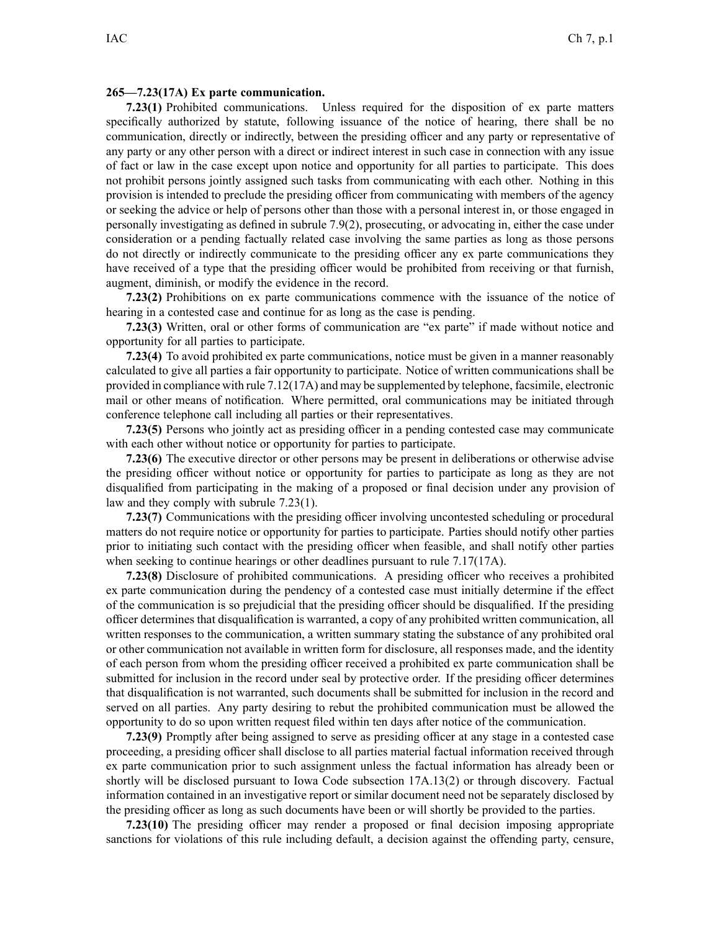## **265—7.23(17A) Ex parte communication.**

**7.23(1)** Prohibited communications. Unless required for the disposition of ex parte matters specifically authorized by statute, following issuance of the notice of hearing, there shall be no communication, directly or indirectly, between the presiding officer and any party or representative of any party or any other person with <sup>a</sup> direct or indirect interest in such case in connection with any issue of fact or law in the case excep<sup>t</sup> upon notice and opportunity for all parties to participate. This does not prohibit persons jointly assigned such tasks from communicating with each other. Nothing in this provision is intended to preclude the presiding officer from communicating with members of the agency or seeking the advice or help of persons other than those with <sup>a</sup> personal interest in, or those engaged in personally investigating as defined in subrule 7.9(2), prosecuting, or advocating in, either the case under consideration or <sup>a</sup> pending factually related case involving the same parties as long as those persons do not directly or indirectly communicate to the presiding officer any ex parte communications they have received of <sup>a</sup> type that the presiding officer would be prohibited from receiving or that furnish, augment, diminish, or modify the evidence in the record.

**7.23(2)** Prohibitions on ex parte communications commence with the issuance of the notice of hearing in <sup>a</sup> contested case and continue for as long as the case is pending.

**7.23(3)** Written, oral or other forms of communication are "ex parte" if made without notice and opportunity for all parties to participate.

**7.23(4)** To avoid prohibited ex parte communications, notice must be given in <sup>a</sup> manner reasonably calculated to give all parties <sup>a</sup> fair opportunity to participate. Notice of written communications shall be provided in compliance with rule 7.12(17A) and may be supplemented by telephone, facsimile, electronic mail or other means of notification. Where permitted, oral communications may be initiated through conference telephone call including all parties or their representatives.

**7.23(5)** Persons who jointly act as presiding officer in <sup>a</sup> pending contested case may communicate with each other without notice or opportunity for parties to participate.

**7.23(6)** The executive director or other persons may be presen<sup>t</sup> in deliberations or otherwise advise the presiding officer without notice or opportunity for parties to participate as long as they are not disqualified from participating in the making of <sup>a</sup> proposed or final decision under any provision of law and they comply with subrule 7.23(1).

**7.23(7)** Communications with the presiding officer involving uncontested scheduling or procedural matters do not require notice or opportunity for parties to participate. Parties should notify other parties prior to initiating such contact with the presiding officer when feasible, and shall notify other parties when seeking to continue hearings or other deadlines pursuant to rule 7.17(17A).

**7.23(8)** Disclosure of prohibited communications. A presiding officer who receives <sup>a</sup> prohibited ex parte communication during the pendency of <sup>a</sup> contested case must initially determine if the effect of the communication is so prejudicial that the presiding officer should be disqualified. If the presiding officer determines that disqualification is warranted, <sup>a</sup> copy of any prohibited written communication, all written responses to the communication, <sup>a</sup> written summary stating the substance of any prohibited oral or other communication not available in written form for disclosure, all responses made, and the identity of each person from whom the presiding officer received <sup>a</sup> prohibited ex parte communication shall be submitted for inclusion in the record under seal by protective order. If the presiding officer determines that disqualification is not warranted, such documents shall be submitted for inclusion in the record and served on all parties. Any party desiring to rebut the prohibited communication must be allowed the opportunity to do so upon written reques<sup>t</sup> filed within ten days after notice of the communication.

**7.23(9)** Promptly after being assigned to serve as presiding officer at any stage in <sup>a</sup> contested case proceeding, <sup>a</sup> presiding officer shall disclose to all parties material factual information received through ex parte communication prior to such assignment unless the factual information has already been or shortly will be disclosed pursuan<sup>t</sup> to Iowa Code subsection 17A.13(2) or through discovery. Factual information contained in an investigative repor<sup>t</sup> or similar document need not be separately disclosed by the presiding officer as long as such documents have been or will shortly be provided to the parties.

**7.23(10)** The presiding officer may render <sup>a</sup> proposed or final decision imposing appropriate sanctions for violations of this rule including default, <sup>a</sup> decision against the offending party, censure,